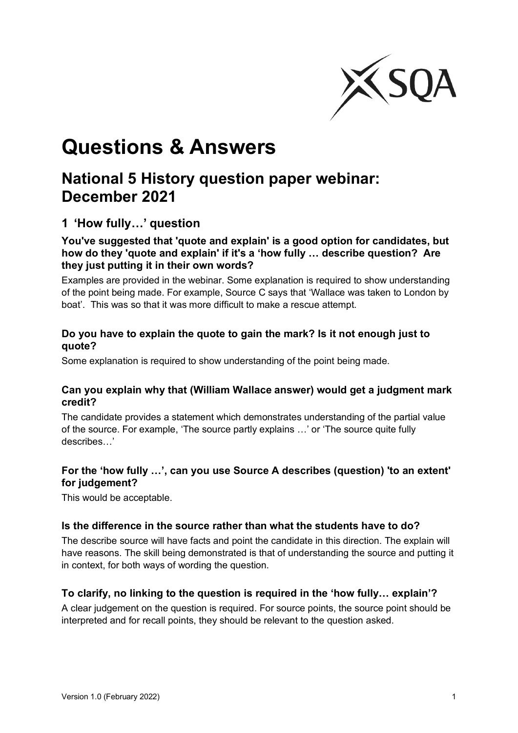

# **Questions & Answers**

# **National 5 History question paper webinar: December 2021**

# **1 'How fully…' question**

#### **You've suggested that 'quote and explain' is a good option for candidates, but how do they 'quote and explain' if it's a 'how fully … describe question? Are they just putting it in their own words?**

Examples are provided in the webinar. Some explanation is required to show understanding of the point being made. For example, Source C says that 'Wallace was taken to London by boat'. This was so that it was more difficult to make a rescue attempt.

#### **Do you have to explain the quote to gain the mark? Is it not enough just to quote?**

Some explanation is required to show understanding of the point being made.

#### **Can you explain why that (William Wallace answer) would get a judgment mark credit?**

The candidate provides a statement which demonstrates understanding of the partial value of the source. For example, 'The source partly explains …' or 'The source quite fully describes…'

#### **For the 'how fully …', can you use Source A describes (question) 'to an extent' for judgement?**

This would be acceptable.

#### **Is the difference in the source rather than what the students have to do?**

The describe source will have facts and point the candidate in this direction. The explain will have reasons. The skill being demonstrated is that of understanding the source and putting it in context, for both ways of wording the question.

#### **To clarify, no linking to the question is required in the 'how fully… explain'?**

A clear judgement on the question is required. For source points, the source point should be interpreted and for recall points, they should be relevant to the question asked.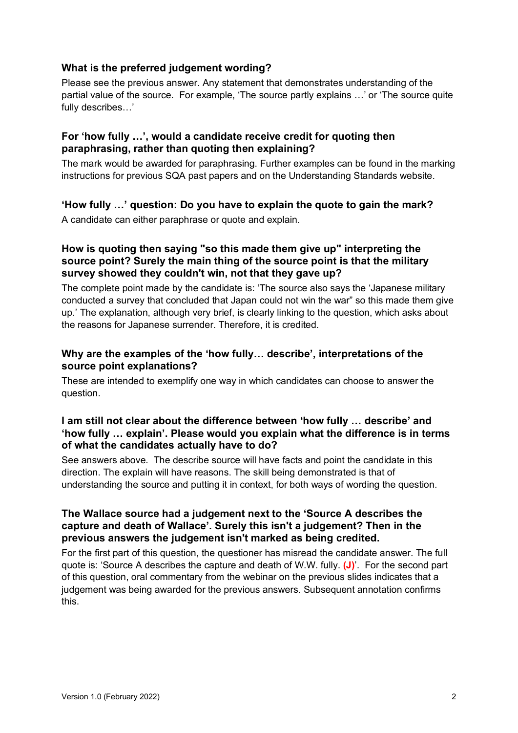#### **What is the preferred judgement wording?**

Please see the previous answer. Any statement that demonstrates understanding of the partial value of the source. For example, 'The source partly explains …' or 'The source quite fully describes…'

#### **For 'how fully …', would a candidate receive credit for quoting then paraphrasing, rather than quoting then explaining?**

The mark would be awarded for paraphrasing. Further examples can be found in the marking instructions for previous SQA past papers and on the Understanding Standards website.

#### **'How fully …' question: Do you have to explain the quote to gain the mark?**

A candidate can either paraphrase or quote and explain.

#### **How is quoting then saying "so this made them give up" interpreting the source point? Surely the main thing of the source point is that the military survey showed they couldn't win, not that they gave up?**

The complete point made by the candidate is: 'The source also says the 'Japanese military conducted a survey that concluded that Japan could not win the war" so this made them give up.' The explanation, although very brief, is clearly linking to the question, which asks about the reasons for Japanese surrender. Therefore, it is credited.

#### **Why are the examples of the 'how fully… describe', interpretations of the source point explanations?**

These are intended to exemplify one way in which candidates can choose to answer the question.

#### **I am still not clear about the difference between 'how fully … describe' and 'how fully … explain'. Please would you explain what the difference is in terms of what the candidates actually have to do?**

See answers above. The describe source will have facts and point the candidate in this direction. The explain will have reasons. The skill being demonstrated is that of understanding the source and putting it in context, for both ways of wording the question.

#### **The Wallace source had a judgement next to the 'Source A describes the capture and death of Wallace'. Surely this isn't a judgement? Then in the previous answers the judgement isn't marked as being credited.**

For the first part of this question, the questioner has misread the candidate answer. The full quote is: 'Source A describes the capture and death of W.W. fully. **(J)**'. For the second part of this question, oral commentary from the webinar on the previous slides indicates that a judgement was being awarded for the previous answers. Subsequent annotation confirms this.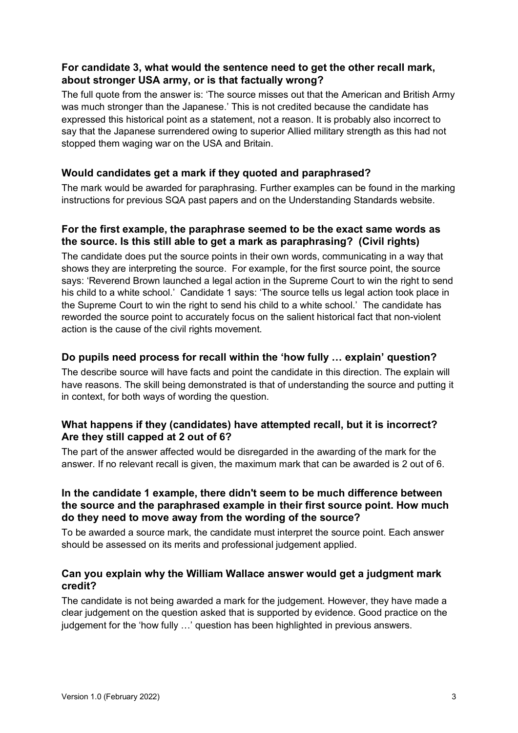#### **For candidate 3, what would the sentence need to get the other recall mark, about stronger USA army, or is that factually wrong?**

The full quote from the answer is: 'The source misses out that the American and British Army was much stronger than the Japanese.' This is not credited because the candidate has expressed this historical point as a statement, not a reason. It is probably also incorrect to say that the Japanese surrendered owing to superior Allied military strength as this had not stopped them waging war on the USA and Britain.

#### **Would candidates get a mark if they quoted and paraphrased?**

The mark would be awarded for paraphrasing. Further examples can be found in the marking instructions for previous SQA past papers and on the Understanding Standards website.

#### **For the first example, the paraphrase seemed to be the exact same words as the source. Is this still able to get a mark as paraphrasing? (Civil rights)**

The candidate does put the source points in their own words, communicating in a way that shows they are interpreting the source. For example, for the first source point, the source says: 'Reverend Brown launched a legal action in the Supreme Court to win the right to send his child to a white school.' Candidate 1 says: 'The source tells us legal action took place in the Supreme Court to win the right to send his child to a white school.' The candidate has reworded the source point to accurately focus on the salient historical fact that non-violent action is the cause of the civil rights movement.

#### **Do pupils need process for recall within the 'how fully … explain' question?**

The describe source will have facts and point the candidate in this direction. The explain will have reasons. The skill being demonstrated is that of understanding the source and putting it in context, for both ways of wording the question.

#### **What happens if they (candidates) have attempted recall, but it is incorrect? Are they still capped at 2 out of 6?**

The part of the answer affected would be disregarded in the awarding of the mark for the answer. If no relevant recall is given, the maximum mark that can be awarded is 2 out of 6.

#### **In the candidate 1 example, there didn't seem to be much difference between the source and the paraphrased example in their first source point. How much do they need to move away from the wording of the source?**

To be awarded a source mark, the candidate must interpret the source point. Each answer should be assessed on its merits and professional judgement applied.

#### **Can you explain why the William Wallace answer would get a judgment mark credit?**

The candidate is not being awarded a mark for the judgement. However, they have made a clear judgement on the question asked that is supported by evidence. Good practice on the judgement for the 'how fully …' question has been highlighted in previous answers.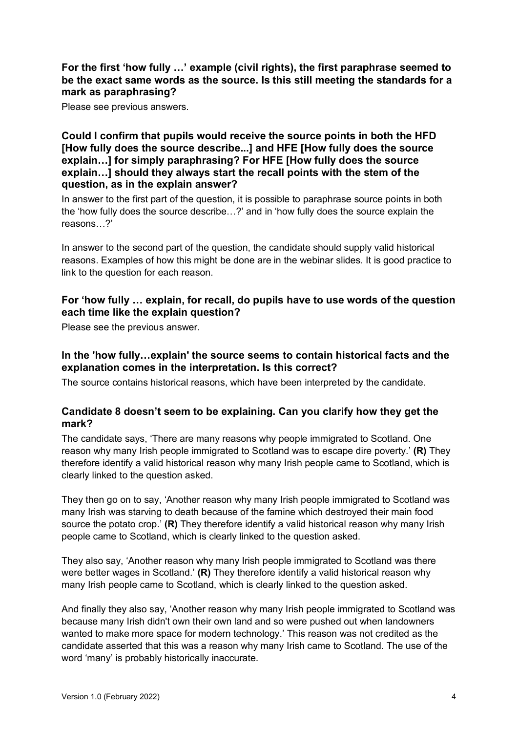#### **For the first 'how fully …' example (civil rights), the first paraphrase seemed to be the exact same words as the source. Is this still meeting the standards for a mark as paraphrasing?**

Please see previous answers.

#### **Could I confirm that pupils would receive the source points in both the HFD [How fully does the source describe...] and HFE [How fully does the source explain…] for simply paraphrasing? For HFE [How fully does the source explain…] should they always start the recall points with the stem of the question, as in the explain answer?**

In answer to the first part of the question, it is possible to paraphrase source points in both the 'how fully does the source describe…?' and in 'how fully does the source explain the reasons…?'

In answer to the second part of the question, the candidate should supply valid historical reasons. Examples of how this might be done are in the webinar slides. It is good practice to link to the question for each reason.

#### **For 'how fully … explain, for recall, do pupils have to use words of the question each time like the explain question?**

Please see the previous answer.

#### **In the 'how fully…explain' the source seems to contain historical facts and the explanation comes in the interpretation. Is this correct?**

The source contains historical reasons, which have been interpreted by the candidate.

#### **Candidate 8 doesn't seem to be explaining. Can you clarify how they get the mark?**

The candidate says, 'There are many reasons why people immigrated to Scotland. One reason why many Irish people immigrated to Scotland was to escape dire poverty.' **(R)** They therefore identify a valid historical reason why many Irish people came to Scotland, which is clearly linked to the question asked.

They then go on to say, 'Another reason why many Irish people immigrated to Scotland was many Irish was starving to death because of the famine which destroyed their main food source the potato crop.' **(R)** They therefore identify a valid historical reason why many Irish people came to Scotland, which is clearly linked to the question asked.

They also say, 'Another reason why many Irish people immigrated to Scotland was there were better wages in Scotland.' **(R)** They therefore identify a valid historical reason why many Irish people came to Scotland, which is clearly linked to the question asked.

And finally they also say, 'Another reason why many Irish people immigrated to Scotland was because many Irish didn't own their own land and so were pushed out when landowners wanted to make more space for modern technology.' This reason was not credited as the candidate asserted that this was a reason why many Irish came to Scotland. The use of the word 'many' is probably historically inaccurate.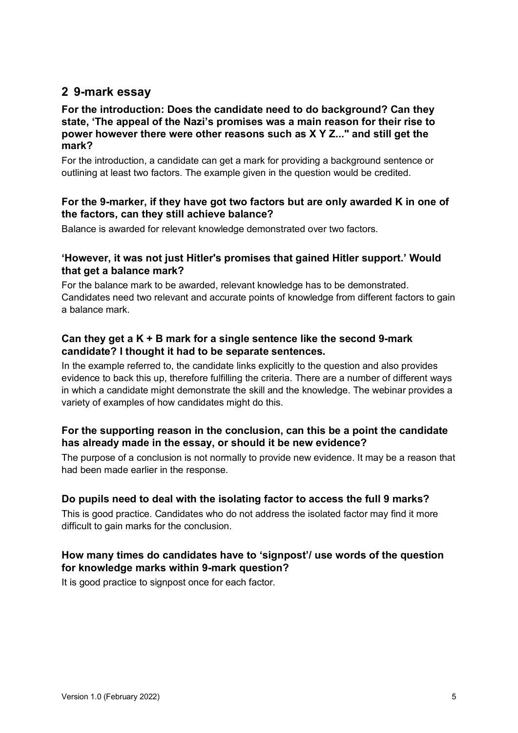### **2 9-mark essay**

#### **For the introduction: Does the candidate need to do background? Can they state, 'The appeal of the Nazi's promises was a main reason for their rise to power however there were other reasons such as X Y Z..." and still get the mark?**

For the introduction, a candidate can get a mark for providing a background sentence or outlining at least two factors. The example given in the question would be credited.

#### **For the 9-marker, if they have got two factors but are only awarded K in one of the factors, can they still achieve balance?**

Balance is awarded for relevant knowledge demonstrated over two factors.

#### **'However, it was not just Hitler's promises that gained Hitler support.' Would that get a balance mark?**

For the balance mark to be awarded, relevant knowledge has to be demonstrated. Candidates need two relevant and accurate points of knowledge from different factors to gain a balance mark.

#### **Can they get a K + B mark for a single sentence like the second 9-mark candidate? I thought it had to be separate sentences.**

In the example referred to, the candidate links explicitly to the question and also provides evidence to back this up, therefore fulfilling the criteria. There are a number of different ways in which a candidate might demonstrate the skill and the knowledge. The webinar provides a variety of examples of how candidates might do this.

#### **For the supporting reason in the conclusion, can this be a point the candidate has already made in the essay, or should it be new evidence?**

The purpose of a conclusion is not normally to provide new evidence. It may be a reason that had been made earlier in the response.

#### **Do pupils need to deal with the isolating factor to access the full 9 marks?**

This is good practice. Candidates who do not address the isolated factor may find it more difficult to gain marks for the conclusion.

#### **How many times do candidates have to 'signpost'/ use words of the question for knowledge marks within 9-mark question?**

It is good practice to signpost once for each factor.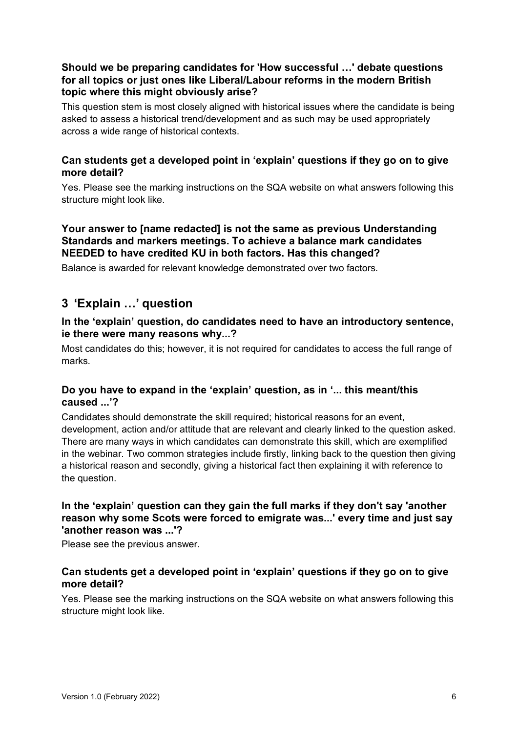#### **Should we be preparing candidates for 'How successful …' debate questions for all topics or just ones like Liberal/Labour reforms in the modern British topic where this might obviously arise?**

This question stem is most closely aligned with historical issues where the candidate is being asked to assess a historical trend/development and as such may be used appropriately across a wide range of historical contexts.

#### **Can students get a developed point in 'explain' questions if they go on to give more detail?**

Yes. Please see the marking instructions on the SQA website on what answers following this structure might look like.

#### **Your answer to [name redacted] is not the same as previous Understanding Standards and markers meetings. To achieve a balance mark candidates NEEDED to have credited KU in both factors. Has this changed?**

Balance is awarded for relevant knowledge demonstrated over two factors.

# **3 'Explain …' question**

#### **In the 'explain' question, do candidates need to have an introductory sentence, ie there were many reasons why...?**

Most candidates do this; however, it is not required for candidates to access the full range of marks.

#### **Do you have to expand in the 'explain' question, as in '... this meant/this caused ...'?**

Candidates should demonstrate the skill required; historical reasons for an event, development, action and/or attitude that are relevant and clearly linked to the question asked. There are many ways in which candidates can demonstrate this skill, which are exemplified in the webinar. Two common strategies include firstly, linking back to the question then giving a historical reason and secondly, giving a historical fact then explaining it with reference to the question.

#### **In the 'explain' question can they gain the full marks if they don't say 'another reason why some Scots were forced to emigrate was...' every time and just say 'another reason was ...'?**

Please see the previous answer.

#### **Can students get a developed point in 'explain' questions if they go on to give more detail?**

Yes. Please see the marking instructions on the SQA website on what answers following this structure might look like.